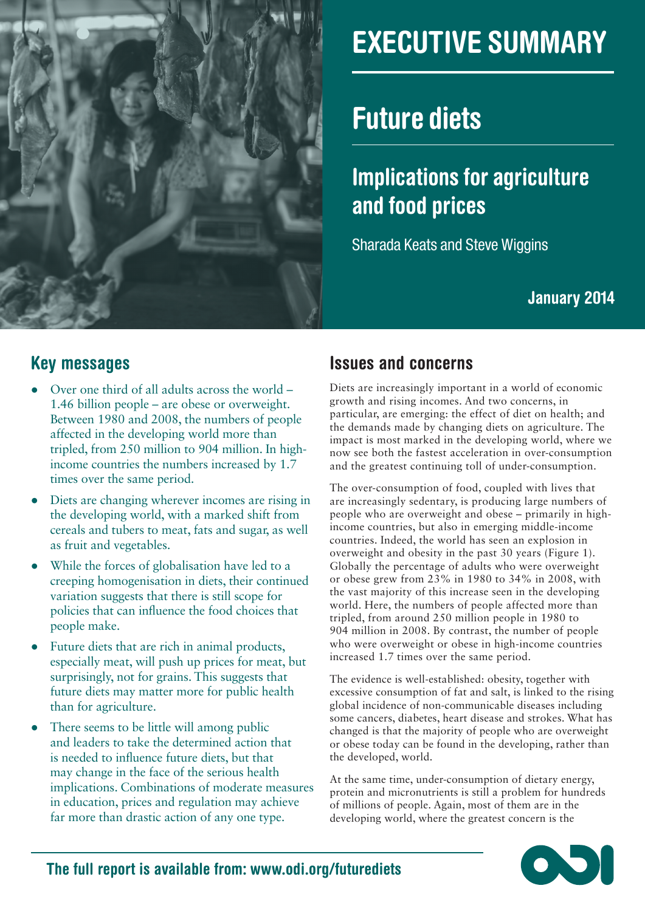

# EXECUTIVE SUMMARY

## Future diets

## Implications for agriculture and food prices

Sharada Keats and Steve Wiggins

**January 2014**

### **Key messages**

- Over one third of all adults across the world  $-$ 1.46 billion people – are obese or overweight. Between 1980 and 2008, the numbers of people affected in the developing world more than tripled, from 250 million to 904 million. In highincome countries the numbers increased by 1.7 times over the same period.
- Diets are changing wherever incomes are rising in the developing world, with a marked shift from cereals and tubers to meat, fats and sugar, as well as fruit and vegetables.
- While the forces of globalisation have led to a creeping homogenisation in diets, their continued variation suggests that there is still scope for policies that can influence the food choices that people make.
- Future diets that are rich in animal products, especially meat, will push up prices for meat, but surprisingly, not for grains. This suggests that future diets may matter more for public health than for agriculture.
- There seems to be little will among public and leaders to take the determined action that is needed to influence future diets, but that may change in the face of the serious health implications. Combinations of moderate measures in education, prices and regulation may achieve far more than drastic action of any one type.

### **Issues and concerns**

Diets are increasingly important in a world of economic growth and rising incomes. And two concerns, in particular, are emerging: the effect of diet on health; and the demands made by changing diets on agriculture. The impact is most marked in the developing world, where we now see both the fastest acceleration in over-consumption and the greatest continuing toll of under-consumption.

The over-consumption of food, coupled with lives that are increasingly sedentary, is producing large numbers of people who are overweight and obese – primarily in highincome countries, but also in emerging middle-income countries. Indeed, the world has seen an explosion in overweight and obesity in the past 30 years (Figure 1). Globally the percentage of adults who were overweight or obese grew from 23% in 1980 to 34% in 2008, with the vast majority of this increase seen in the developing world. Here, the numbers of people affected more than tripled, from around 250 million people in 1980 to 904 million in 2008. By contrast, the number of people who were overweight or obese in high-income countries increased 1.7 times over the same period.

The evidence is well-established: obesity, together with excessive consumption of fat and salt, is linked to the rising global incidence of non-communicable diseases including some cancers, diabetes, heart disease and strokes. What has changed is that the majority of people who are overweight or obese today can be found in the developing, rather than the developed, world.

At the same time, under-consumption of dietary energy, protein and micronutrients is still a problem for hundreds of millions of people. Again, most of them are in the developing world, where the greatest concern is the

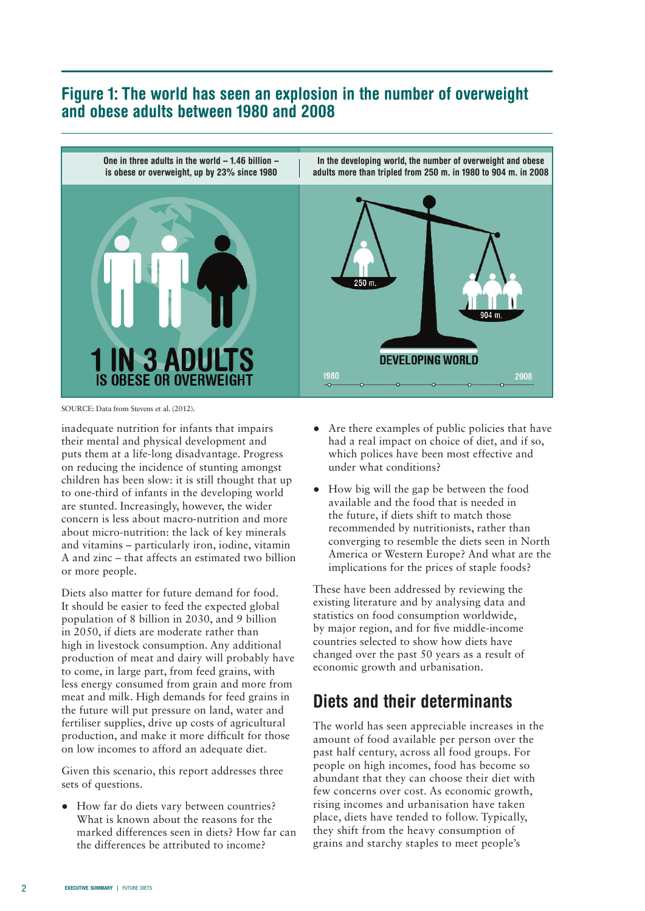#### **Figure 1: The world has seen an explosion in the number of overweight and obese adults between 1980 and 2008**



**Source: Data from Stevens et al. (2012).**

inadequate nutrition for infants that impairs their mental and physical development and puts them at a life-long disadvantage. Progress on reducing the incidence of stunting amongst children has been slow: it is still thought that up to one-third of infants in the developing world are stunted. Increasingly, however, the wider concern is less about macro-nutrition and more about micro-nutrition: the lack of key minerals and vitamins – particularly iron, iodine, vitamin A and zinc – that affects an estimated two billion or more people.

Diets also matter for future demand for food. It should be easier to feed the expected global population of 8 billion in 2030, and 9 billion in 2050, if diets are moderate rather than high in livestock consumption. Any additional production of meat and dairy will probably have to come, in large part, from feed grains, with less energy consumed from grain and more from meat and milk. High demands for feed grains in the future will put pressure on land, water and fertiliser supplies, drive up costs of agricultural production, and make it more difficult for those on low incomes to afford an adequate diet.

Given this scenario, this report addresses three sets of questions.

● How far do diets vary between countries? What is known about the reasons for the marked differences seen in diets? How far can the differences be attributed to income?

- Are there examples of public policies that have had a real impact on choice of diet, and if so, which polices have been most effective and under what conditions?
- How big will the gap be between the food available and the food that is needed in the future, if diets shift to match those recommended by nutritionists, rather than converging to resemble the diets seen in North America or Western Europe? And what are the implications for the prices of staple foods?

These have been addressed by reviewing the existing literature and by analysing data and statistics on food consumption worldwide, by major region, and for five middle-income countries selected to show how diets have changed over the past 50 years as a result of economic growth and urbanisation.

### **Diets and their determinants**

The world has seen appreciable increases in the amount of food available per person over the past half century, across all food groups. For people on high incomes, food has become so abundant that they can choose their diet with few concerns over cost. As economic growth, rising incomes and urbanisation have taken place, diets have tended to follow. Typically, they shift from the heavy consumption of grains and starchy staples to meet people's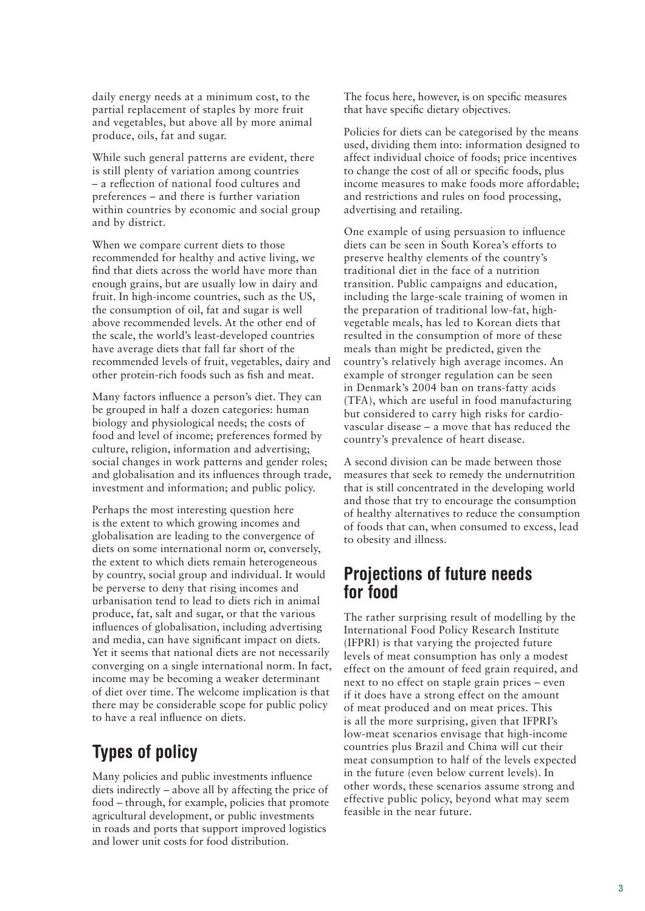daily energy needs at a minimum cost, to the partial replacement of staples by more fruit and vegetables, but above all by more animal produce, oils, fat and sugar.

While such general patterns are evident, there is still plenty of variation among countries – a reflection of national food cultures and preferences – and there is further variation within countries by economic and social group and by district.

When we compare current diets to those recommended for healthy and active living, we find that diets across the world have more than enough grains, but are usually low in dairy and fruit. In high-income countries, such as the US, the consumption of oil, fat and sugar is well above recommended levels. At the other end of the scale, the world's least-developed countries have average diets that fall far short of the recommended levels of fruit, vegetables, dairy and other protein-rich foods such as fish and meat.

Many factors influence a person's diet. They can be grouped in half a dozen categories: human biology and physiological needs; the costs of food and level of income; preferences formed by culture, religion, information and advertising; social changes in work patterns and gender roles; and globalisation and its influences through trade, investment and information; and public policy.

Perhaps the most interesting question here is the extent to which growing incomes and globalisation are leading to the convergence of diets on some international norm or, conversely, the extent to which diets remain heterogeneous by country, social group and individual. It would be perverse to deny that rising incomes and urbanisation tend to lead to diets rich in animal produce, fat, salt and sugar, or that the various influences of globalisation, including advertising and media, can have significant impact on diets. Yet it seems that national diets are not necessarily converging on a single international norm. In fact, income may be becoming a weaker determinant of diet over time. The welcome implication is that there may be considerable scope for public policy to have a real influence on diets.

### **Types of policy**

Many policies and public investments influence diets indirectly – above all by affecting the price of food – through, for example, policies that promote agricultural development, or public investments in roads and ports that support improved logistics and lower unit costs for food distribution.

The focus here, however, is on specific measures that have specific dietary objectives.

Policies for diets can be categorised by the means used, dividing them into: information designed to affect individual choice of foods; price incentives to change the cost of all or specific foods, plus income measures to make foods more affordable; and restrictions and rules on food processing, advertising and retailing.

One example of using persuasion to influence diets can be seen in South Korea's efforts to preserve healthy elements of the country's traditional diet in the face of a nutrition transition. Public campaigns and education, including the large-scale training of women in the preparation of traditional low-fat, highvegetable meals, has led to Korean diets that resulted in the consumption of more of these meals than might be predicted, given the country's relatively high average incomes. An example of stronger regulation can be seen in Denmark's 2004 ban on trans-fatty acids (TFA), which are useful in food manufacturing but considered to carry high risks for cardiovascular disease – a move that has reduced the country's prevalence of heart disease.

A second division can be made between those measures that seek to remedy the undernutrition that is still concentrated in the developing world and those that try to encourage the consumption of healthy alternatives to reduce the consumption of foods that can, when consumed to excess, lead to obesity and illness.

#### **Projections of future needs for food**

The rather surprising result of modelling by the International Food Policy Research Institute (IFPRI) is that varying the projected future levels of meat consumption has only a modest effect on the amount of feed grain required, and next to no effect on staple grain prices – even if it does have a strong effect on the amount of meat produced and on meat prices. This is all the more surprising, given that IFPRI's low-meat scenarios envisage that high-income countries plus Brazil and China will cut their meat consumption to half of the levels expected in the future (even below current levels). In other words, these scenarios assume strong and effective public policy, beyond what may seem feasible in the near future.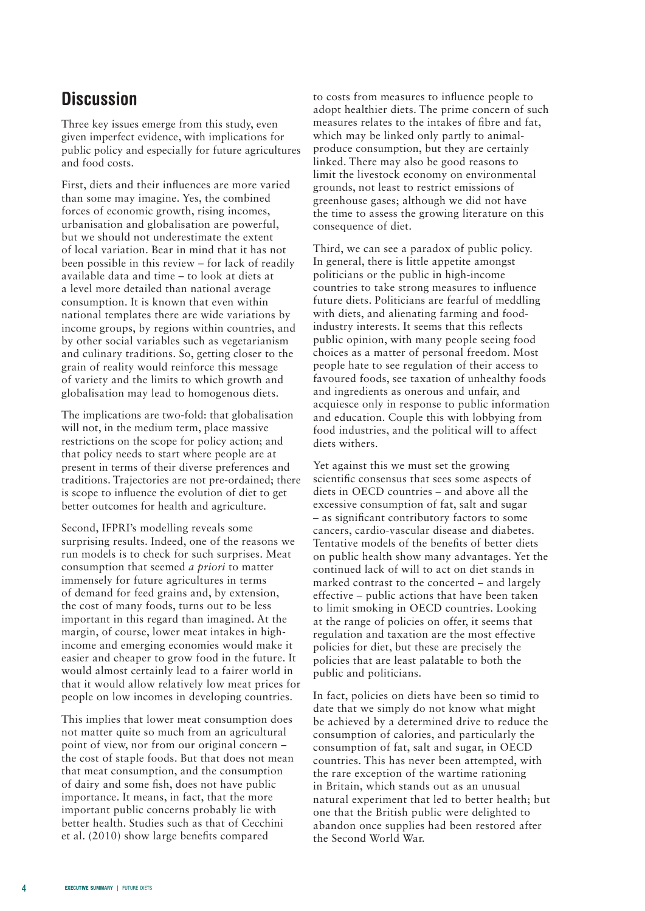#### **Discussion**

Three key issues emerge from this study, even given imperfect evidence, with implications for public policy and especially for future agricultures and food costs.

First, diets and their influences are more varied than some may imagine. Yes, the combined forces of economic growth, rising incomes, urbanisation and globalisation are powerful, but we should not underestimate the extent of local variation. Bear in mind that it has not been possible in this review – for lack of readily available data and time – to look at diets at a level more detailed than national average consumption. It is known that even within national templates there are wide variations by income groups, by regions within countries, and by other social variables such as vegetarianism and culinary traditions. So, getting closer to the grain of reality would reinforce this message of variety and the limits to which growth and globalisation may lead to homogenous diets.

The implications are two-fold: that globalisation will not, in the medium term, place massive restrictions on the scope for policy action; and that policy needs to start where people are at present in terms of their diverse preferences and traditions. Trajectories are not pre-ordained; there is scope to influence the evolution of diet to get better outcomes for health and agriculture.

Second, IFPRI's modelling reveals some surprising results. Indeed, one of the reasons we run models is to check for such surprises. Meat consumption that seemed *a priori* to matter immensely for future agricultures in terms of demand for feed grains and, by extension, the cost of many foods, turns out to be less important in this regard than imagined. At the margin, of course, lower meat intakes in highincome and emerging economies would make it easier and cheaper to grow food in the future. It would almost certainly lead to a fairer world in that it would allow relatively low meat prices for people on low incomes in developing countries.

This implies that lower meat consumption does not matter quite so much from an agricultural point of view, nor from our original concern – the cost of staple foods. But that does not mean that meat consumption, and the consumption of dairy and some fish, does not have public importance. It means, in fact, that the more important public concerns probably lie with better health. Studies such as that of Cecchini et al. (2010) show large benefits compared

to costs from measures to influence people to adopt healthier diets. The prime concern of such measures relates to the intakes of fibre and fat, which may be linked only partly to animalproduce consumption, but they are certainly linked. There may also be good reasons to limit the livestock economy on environmental grounds, not least to restrict emissions of greenhouse gases; although we did not have the time to assess the growing literature on this consequence of diet.

Third, we can see a paradox of public policy. In general, there is little appetite amongst politicians or the public in high-income countries to take strong measures to influence future diets. Politicians are fearful of meddling with diets, and alienating farming and foodindustry interests. It seems that this reflects public opinion, with many people seeing food choices as a matter of personal freedom. Most people hate to see regulation of their access to favoured foods, see taxation of unhealthy foods and ingredients as onerous and unfair, and acquiesce only in response to public information and education. Couple this with lobbying from food industries, and the political will to affect diets withers.

Yet against this we must set the growing scientific consensus that sees some aspects of diets in OECD countries – and above all the excessive consumption of fat, salt and sugar – as significant contributory factors to some cancers, cardio-vascular disease and diabetes. Tentative models of the benefits of better diets on public health show many advantages. Yet the continued lack of will to act on diet stands in marked contrast to the concerted – and largely effective – public actions that have been taken to limit smoking in OECD countries. Looking at the range of policies on offer, it seems that regulation and taxation are the most effective policies for diet, but these are precisely the policies that are least palatable to both the public and politicians.

In fact, policies on diets have been so timid to date that we simply do not know what might be achieved by a determined drive to reduce the consumption of calories, and particularly the consumption of fat, salt and sugar, in OECD countries. This has never been attempted, with the rare exception of the wartime rationing in Britain, which stands out as an unusual natural experiment that led to better health; but one that the British public were delighted to abandon once supplies had been restored after the Second World War.